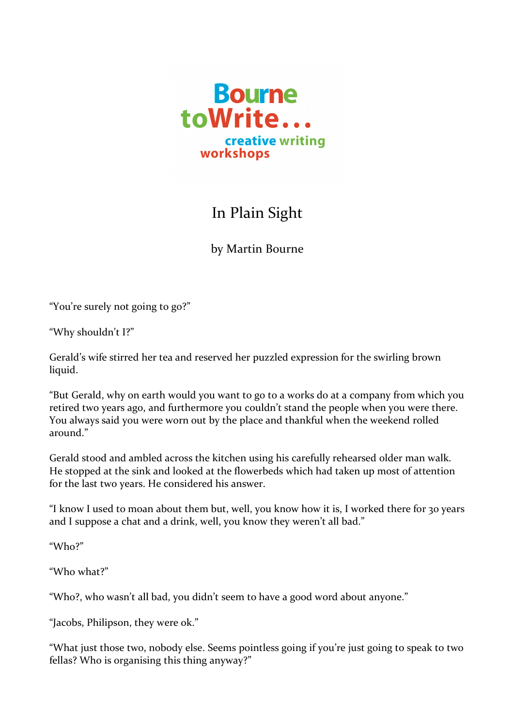

## In Plain Sight

by Martin Bourne

"You're surely not going to go?"

"Why shouldn't I?"

Gerald's wife stirred her tea and reserved her puzzled expression for the swirling brown liquid.

"But Gerald, why on earth would you want to go to a works do at a company from which you retired two years ago, and furthermore you couldn't stand the people when you were there. You always said you were worn out by the place and thankful when the weekend rolled around."

Gerald stood and ambled across the kitchen using his carefully rehearsed older man walk. He stopped at the sink and looked at the flowerbeds which had taken up most of attention for the last two years. He considered his answer.

"I know I used to moan about them but, well, you know how it is, I worked there for 30 years and I suppose a chat and a drink, well, you know they weren't all bad."

"Who?"

"Who what?"

"Who?, who wasn't all bad, you didn't seem to have a good word about anyone."

"Jacobs, Philipson, they were ok."

"What just those two, nobody else. Seems pointless going if you're just going to speak to two fellas? Who is organising this thing anyway?"